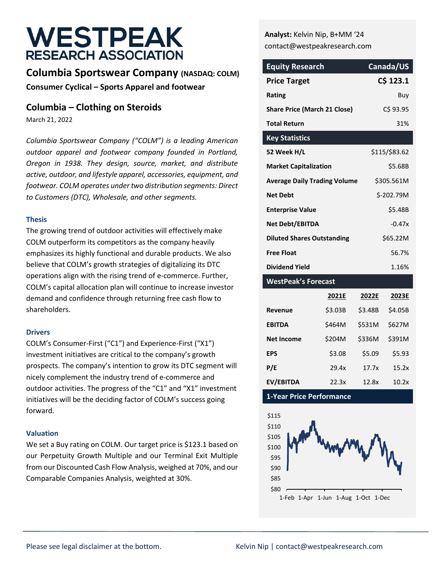# **WESTPEAK RESEARCH ASSOCIATION**

## **Columbia Sportswear Company (NASDAQ: COLM) Consumer Cyclical – Sports Apparel and footwear**

### **Columbia – Clothing on Steroids**

March 21, 2022

*Columbia Sportswear Company ("COLM") is a leading American outdoor apparel and footwear company founded in Portland, Oregon in 1938. They design, source, market, and distribute active, outdoor, and lifestyle apparel, accessories, equipment, and footwear. COLM operates under two distribution segments: Direct to Customers (DTC), Wholesale, and other segments.* 

#### **Thesis**

The growing trend of outdoor activities will effectively make COLM outperform its competitors as the company heavily emphasizes its highly functional and durable products. We also believe that COLM's growth strategies of digitalizing its DTC operations align with the rising trend of e-commerce. Further, COLM's capital allocation plan will continue to increase investor demand and confidence through returning free cash flow to shareholders.

#### **Drivers**

COLM's Consumer-First ("C1") and Experience-First ("X1") investment initiatives are critical to the company's growth prospects. The company's intention to grow its DTC segment will nicely complement the industry trend of e-commerce and outdoor activities. The progress of the "C1" and "X1" investment initiatives will be the deciding factor of COLM's success going forward.

#### **Valuation**

We set a Buy rating on COLM. Our target price is \$123.1 based on our Perpetuity Growth Multiple and our Terminal Exit Multiple from our Discounted Cash Flow Analysis, weighed at 70%, and our Comparable Companies Analysis, weighted at 30%.

**Analyst:** Kelvin Nip, B+MM '24 contact@westpeakresearch.com

| <b>Equity Research</b>              | Canada/US     |
|-------------------------------------|---------------|
| <b>Price Target</b>                 | C\$ 123.1     |
| Rating                              | Buy           |
| <b>Share Price (March 21 Close)</b> | C\$ 93.95     |
| <b>Total Return</b>                 | 31%           |
| <b>Key Statistics</b>               |               |
| 52 Week H/L                         | \$115/\$83.62 |
| <b>Market Capitalization</b>        | \$5.68B       |
| <b>Average Daily Trading Volume</b> | \$305.561M    |
| <b>Net Debt</b>                     | \$-202.79M    |
| <b>Enterprise Value</b>             | \$5.48B       |
| <b>Net Debt/EBITDA</b>              | $-0.47x$      |
| <b>Diluted Shares Outstanding</b>   | \$65.22M      |
| <b>Free Float</b>                   | 56.7%         |
| <b>Dividend Yield</b>               | 1.16%         |
| <b>WestPeak's Forecast</b>          |               |

|                   | 2021E   | 2022E   | 2023E   |
|-------------------|---------|---------|---------|
| Revenue           | \$3.03B | \$3.48B | \$4.05B |
| <b>EBITDA</b>     | \$464M  | \$531M  | \$627M  |
| <b>Net Income</b> | \$204M  | \$336M  | \$391M  |
| <b>EPS</b>        | \$3.08  | \$5.09  | \$5.93  |
| P/E               | 29.4x   | 17.7x   | 15.2x   |
| EV/EBITDA         | 22.3x   | 12.8x   | 10.2x   |

**1-Year Price Performance**

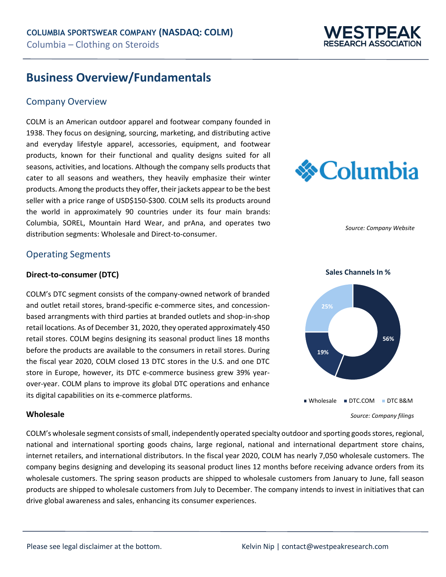

## **Business Overview/Fundamentals**

### Company Overview

COLM is an American outdoor apparel and footwear company founded in 1938. They focus on designing, sourcing, marketing, and distributing active and everyday lifestyle apparel, accessories, equipment, and footwear products, known for their functional and quality designs suited for all seasons, activities, and locations. Although the company sells products that cater to all seasons and weathers, they heavily emphasize their winter products. Among the products they offer, their jackets appear to be the best seller with a price range of USD\$150-\$300. COLM sells its products around the world in approximately 90 countries under its four main brands: Columbia, SOREL, Mountain Hard Wear, and prAna, and operates two distribution segments: Wholesale and Direct-to-consumer.



*Source: Company Website*

### Operating Segments

#### **Direct-to-consumer (DTC)**

COLM's DTC segment consists of the company-owned network of branded and outlet retail stores, brand-specific e-commerce sites, and concessionbased arrangments with third parties at branded outlets and shop-in-shop retail locations. As of December 31, 2020, they operated approximately 450 retail stores. COLM begins designing its seasonal product lines 18 months before the products are available to the consumers in retail stores. During the fiscal year 2020, COLM closed 13 DTC stores in the U.S. and one DTC store in Europe, however, its DTC e-commerce business grew 39% yearover-year. COLM plans to improve its global DTC operations and enhance its digital capabilities on its e-commerce platforms.



COLM's wholesale segment consists of small, independently operated specialty outdoor and sporting goods stores, regional, national and international sporting goods chains, large regional, national and international department store chains, internet retailers, and international distributors. In the fiscal year 2020, COLM has nearly 7,050 wholesale customers. The company begins designing and developing its seasonal product lines 12 months before receiving advance orders from its wholesale customers. The spring season products are shipped to wholesale customers from January to June, fall season products are shipped to wholesale customers from July to December. The company intends to invest in initiatives that can drive global awareness and sales, enhancing its consumer experiences.



**Sales Channels In %** 

*Source: Company filings*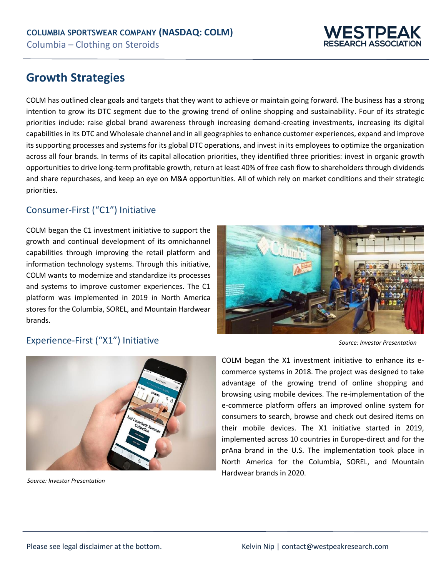

## **Growth Strategies**

COLM has outlined clear goals and targets that they want to achieve or maintain going forward. The business has a strong intention to grow its DTC segment due to the growing trend of online shopping and sustainability. Four of its strategic priorities include: raise global brand awareness through increasing demand-creating investments, increasing its digital capabilities in its DTC and Wholesale channel and in all geographies to enhance customer experiences, expand and improve its supporting processes and systems for its global DTC operations, and invest in its employees to optimize the organization across all four brands. In terms of its capital allocation priorities, they identified three priorities: invest in organic growth opportunities to drive long-term profitable growth, return at least 40% of free cash flow to shareholders through dividends and share repurchases, and keep an eye on M&A opportunities. All of which rely on market conditions and their strategic priorities.

## Consumer-First ("C1") Initiative

COLM began the C1 investment initiative to support the growth and continual development of its omnichannel capabilities through improving the retail platform and information technology systems. Through this initiative, COLM wants to modernize and standardize its processes and systems to improve customer experiences. The C1 platform was implemented in 2019 in North America stores for the Columbia, SOREL, and Mountain Hardwear brands.



## Experience-First ("X1") Initiative



*Source: Investor Presentation*

*Source: Investor Presentation*

COLM began the X1 investment initiative to enhance its ecommerce systems in 2018. The project was designed to take advantage of the growing trend of online shopping and browsing using mobile devices. The re-implementation of the e-commerce platform offers an improved online system for consumers to search, browse and check out desired items on their mobile devices. The X1 initiative started in 2019, implemented across 10 countries in Europe-direct and for the prAna brand in the U.S. The implementation took place in North America for the Columbia, SOREL, and Mountain Hardwear brands in 2020.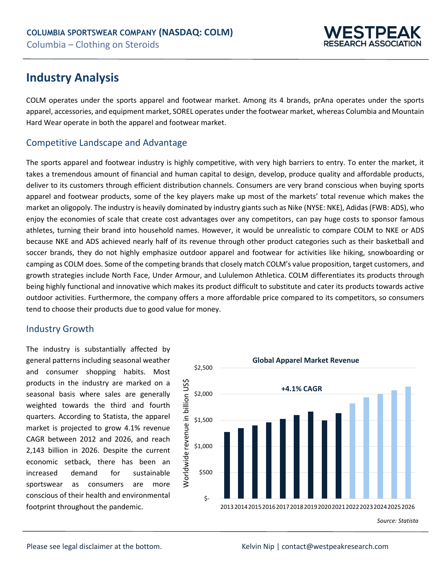

## **Industry Analysis**

COLM operates under the sports apparel and footwear market. Among its 4 brands, prAna operates under the sports apparel, accessories, and equipment market, SOREL operates under the footwear market, whereas Columbia and Mountain Hard Wear operate in both the apparel and footwear market.

## Competitive Landscape and Advantage

The sports apparel and footwear industry is highly competitive, with very high barriers to entry. To enter the market, it takes a tremendous amount of financial and human capital to design, develop, produce quality and affordable products, deliver to its customers through efficient distribution channels. Consumers are very brand conscious when buying sports apparel and footwear products, some of the key players make up most of the markets' total revenue which makes the market an oligopoly. The industry is heavily dominated by industry giants such as Nike (NYSE: NKE), Adidas (FWB: ADS), who enjoy the economies of scale that create cost advantages over any competitors, can pay huge costs to sponsor famous athletes, turning their brand into household names. However, it would be unrealistic to compare COLM to NKE or ADS because NKE and ADS achieved nearly half of its revenue through other product categories such as their basketball and soccer brands, they do not highly emphasize outdoor apparel and footwear for activities like hiking, snowboarding or camping as COLM does. Some of the competing brands that closely match COLM's value proposition, target customers, and growth strategies include North Face, Under Armour, and Lululemon Athletica. COLM differentiates its products through being highly functional and innovative which makes its product difficult to substitute and cater its products towards active outdoor activities. Furthermore, the company offers a more affordable price compared to its competitors, so consumers tend to choose their products due to good value for money.

## Industry Growth

The industry is substantially affected by general patterns including seasonal weather and consumer shopping habits. Most products in the industry are marked on a seasonal basis where sales are generally weighted towards the third and fourth quarters. According to Statista, the apparel market is projected to grow 4.1% revenue CAGR between 2012 and 2026, and reach 2,143 billion in 2026. Despite the current economic setback, there has been an increased demand for sustainable sportswear as consumers are more conscious of their health and environmental footprint throughout the pandemic.



*Source: Statista*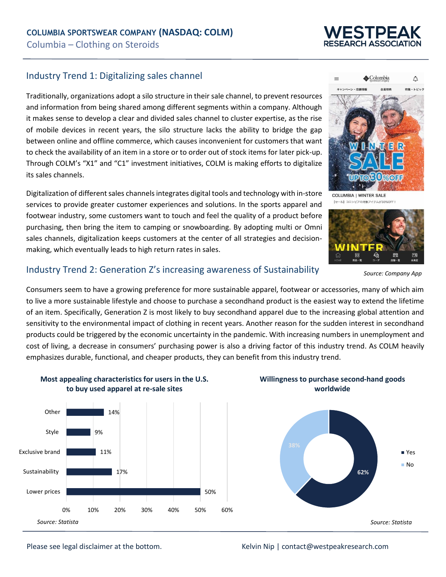

## Industry Trend 1: Digitalizing sales channel

Traditionally, organizations adopt a silo structure in their sale channel, to prevent resources and information from being shared among different segments within a company. Although it makes sense to develop a clear and divided sales channel to cluster expertise, as the rise of mobile devices in recent years, the silo structure lacks the ability to bridge the gap between online and offline commerce, which causes inconvenient for customers that want to check the availability of an item in a store or to order out of stock items for later pick-up. Through COLM's "X1" and "C1" investment initiatives, COLM is making efforts to digitalize its sales channels.

Digitalization of different sales channels integrates digital tools and technology with in-store services to provide greater customer experiences and solutions. In the sports apparel and footwear industry, some customers want to touch and feel the quality of a product before purchasing, then bring the item to camping or snowboarding. By adopting multi or Omni sales channels, digitalization keeps customers at the center of all strategies and decisionmaking, which eventually leads to high return rates in sales.



**COLUMBIA | WINTER SALE** 【セール】コロンビアの対象アイテムが30%OFF



*Source: Company App*

## Industry Trend 2: Generation Z's increasing awareness of Sustainability

Consumers seem to have a growing preference for more sustainable apparel, footwear or accessories, many of which aim to live a more sustainable lifestyle and choose to purchase a secondhand product is the easiest way to extend the lifetime of an item. Specifically, Generation Z is most likely to buy secondhand apparel due to the increasing global attention and sensitivity to the environmental impact of clothing in recent years. Another reason for the sudden interest in secondhand products could be triggered by the economic uncertainty in the pandemic. With increasing numbers in unemployment and cost of living, a decrease in consumers' purchasing power is also a driving factor of this industry trend. As COLM heavily emphasizes durable, functional, and cheaper products, they can benefit from this industry trend.



**Most appealing characteristics for users in the U.S. to buy used apparel at re-sale sites**



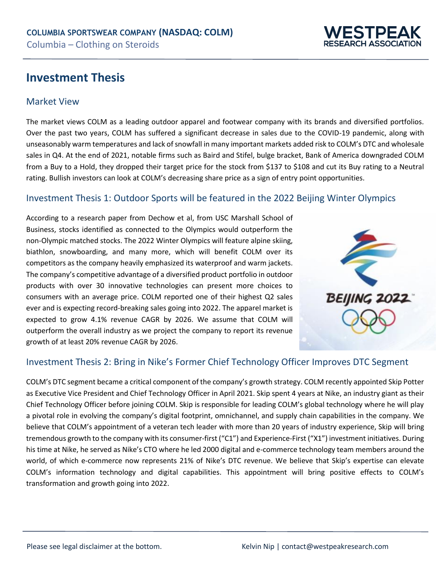## **Investment Thesis**

### Market View

The market views COLM as a leading outdoor apparel and footwear company with its brands and diversified portfolios. Over the past two years, COLM has suffered a significant decrease in sales due to the COVID-19 pandemic, along with unseasonably warm temperatures and lack of snowfall in many important markets added risk to COLM's DTC and wholesale sales in Q4. At the end of 2021, notable firms such as Baird and Stifel, bulge bracket, Bank of America downgraded COLM from a Buy to a Hold, they dropped their target price for the stock from \$137 to \$108 and cut its Buy rating to a Neutral rating. Bullish investors can look at COLM's decreasing share price as a sign of entry point opportunities.

## Investment Thesis 1: Outdoor Sports will be featured in the 2022 Beijing Winter Olympics

According to a research paper from Dechow et al, from USC Marshall School of Business, stocks identified as connected to the Olympics would outperform the non-Olympic matched stocks. The 2022 Winter Olympics will feature alpine skiing, biathlon, snowboarding, and many more, which will benefit COLM over its competitors as the company heavily emphasized its waterproof and warm jackets. The company's competitive advantage of a diversified product portfolio in outdoor products with over 30 innovative technologies can present more choices to consumers with an average price. COLM reported one of their highest Q2 sales ever and is expecting record-breaking sales going into 2022. The apparel market is expected to grow 4.1% revenue CAGR by 2026. We assume that COLM will outperform the overall industry as we project the company to report its revenue growth of at least 20% revenue CAGR by 2026.



**ESTPEA SEARCH ASSOCIATIO** 

### Investment Thesis 2: Bring in Nike's Former Chief Technology Officer Improves DTC Segment

COLM's DTC segment became a critical component of the company's growth strategy. COLM recently appointed Skip Potter as Executive Vice President and Chief Technology Officer in April 2021. Skip spent 4 years at Nike, an industry giant as their Chief Technology Officer before joining COLM. Skip is responsible for leading COLM's global technology where he will play a pivotal role in evolving the company's digital footprint, omnichannel, and supply chain capabilities in the company. We believe that COLM's appointment of a veteran tech leader with more than 20 years of industry experience, Skip will bring tremendous growth to the company with its consumer-first ("C1") and Experience-First ("X1") investment initiatives. During his time at Nike, he served as Nike's CTO where he led 2000 digital and e-commerce technology team members around the world, of which e-commerce now represents 21% of Nike's DTC revenue. We believe that Skip's expertise can elevate COLM's information technology and digital capabilities. This appointment will bring positive effects to COLM's transformation and growth going into 2022.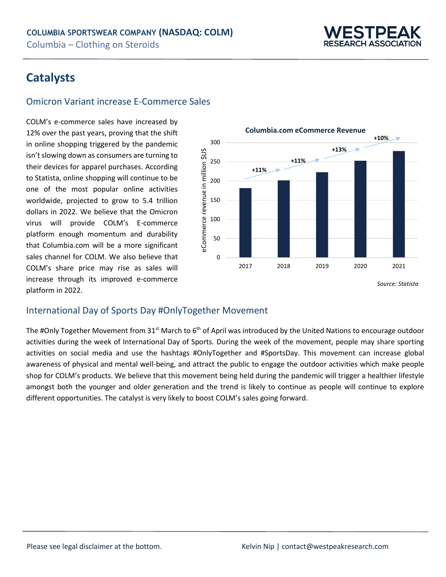

## **Catalysts**

## Omicron Variant increase E-Commerce Sales

COLM's e-commerce sales have increased by 12% over the past years, proving that the shift in online shopping triggered by the pandemic isn't slowing down as consumers are turning to their devices for apparel purchases. According to Statista, online shopping will continue to be one of the most popular online activities worldwide, projected to grow to 5.4 trillion dollars in 2022. We believe that the Omicron virus will provide COLM's E-commerce platform enough momentum and durability that Columbia.com will be a more significant sales channel for COLM. We also believe that COLM's share price may rise as sales will increase through its improved e-commerce platform in 2022.



## International Day of Sports Day #OnlyTogether Movement

The #Only Together Movement from 31st March to  $6<sup>th</sup>$  of April was introduced by the United Nations to encourage outdoor activities during the week of International Day of Sports. During the week of the movement, people may share sporting activities on social media and use the hashtags #OnlyTogether and #SportsDay. This movement can increase global awareness of physical and mental well-being, and attract the public to engage the outdoor activities which make people shop for COLM's products. We believe that this movement being held during the pandemic will trigger a healthier lifestyle amongst both the younger and older generation and the trend is likely to continue as people will continue to explore different opportunities. The catalyst is very likely to boost COLM's sales going forward.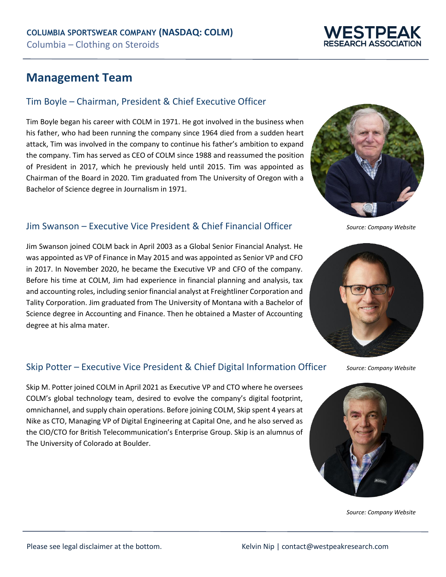## **Management Team**

## Tim Boyle – Chairman, President & Chief Executive Officer

Tim Boyle began his career with COLM in 1971. He got involved in the business when his father, who had been running the company since 1964 died from a sudden heart attack, Tim was involved in the company to continue his father's ambition to expand the company. Tim has served as CEO of COLM since 1988 and reassumed the position of President in 2017, which he previously held until 2015. Tim was appointed as Chairman of the Board in 2020. Tim graduated from The University of Oregon with a Bachelor of Science degree in Journalism in 1971.

## Jim Swanson – Executive Vice President & Chief Financial Officer

Jim Swanson joined COLM back in April 2003 as a Global Senior Financial Analyst. He was appointed as VP of Finance in May 2015 and was appointed as Senior VP and CFO in 2017. In November 2020, he became the Executive VP and CFO of the company. Before his time at COLM, Jim had experience in financial planning and analysis, tax and accounting roles, including senior financial analyst at Freightliner Corporation and Tality Corporation. Jim graduated from The University of Montana with a Bachelor of Science degree in Accounting and Finance. Then he obtained a Master of Accounting degree at his alma mater.

## Skip Potter – Executive Vice President & Chief Digital Information Officer

Skip M. Potter joined COLM in April 2021 as Executive VP and CTO where he oversees COLM's global technology team, desired to evolve the company's digital footprint, omnichannel, and supply chain operations. Before joining COLM, Skip spent 4 years at Nike as CTO, Managing VP of Digital Engineering at Capital One, and he also served as the CIO/CTO for British Telecommunication's Enterprise Group. Skip is an alumnus of The University of Colorado at Boulder.



*Source: Company Website*



*Source: Company Website*



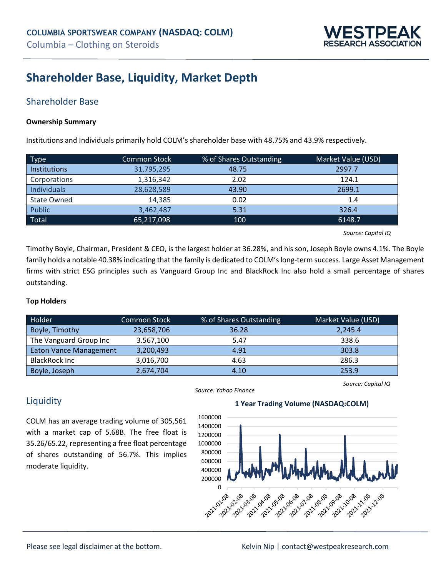

## **Shareholder Base, Liquidity, Market Depth**

## Shareholder Base

#### **Ownership Summary**

Institutions and Individuals primarily hold COLM's shareholder base with 48.75% and 43.9% respectively.

| <b>Type</b>        | <b>Common Stock</b> | % of Shares Outstanding | Market Value (USD) |
|--------------------|---------------------|-------------------------|--------------------|
| Institutions       | 31,795,295          | 48.75                   | 2997.7             |
| Corporations       | 1,316,342           | 2.02                    | 124.1              |
| Individuals        | 28,628,589          | 43.90                   | 2699.1             |
| <b>State Owned</b> | 14.385              | 0.02                    | 1.4                |
| Public             | 3,462,487           | 5.31                    | 326.4              |
| Total              | 65,217,098          | 100                     | 6148.7             |

*Source: Capital IQ*

*Source: Capital IQ*

Timothy Boyle, Chairman, President & CEO, is the largest holder at 36.28%, and his son, Joseph Boyle owns 4.1%. The Boyle family holds a notable 40.38% indicating that the family is dedicated to COLM's long-term success. Large Asset Management firms with strict ESG principles such as Vanguard Group Inc and BlackRock Inc also hold a small percentage of shares outstanding.

#### **Top Holders**

| Holder                        | <b>Common Stock</b> | % of Shares Outstanding | Market Value (USD) |
|-------------------------------|---------------------|-------------------------|--------------------|
| Boyle, Timothy                | 23,658,706          | 36.28                   | 2,245.4            |
| The Vanguard Group Inc        | 3.567,100           | 5.47                    | 338.6              |
| <b>Eaton Vance Management</b> | 3,200,493           | 4.91                    | 303.8              |
| <b>BlackRock Inc</b>          | 3,016,700           | 4.63                    | 286.3              |
| Boyle, Joseph                 | 2,674,704           | 4.10                    | 253.9              |

### **Liquidity**

COLM has an average trading volume of 305,561 with a market cap of 5.68B. The free float is 35.26/65.22, representing a free float percentage of shares outstanding of 56.7%. This implies moderate liquidity.

#### *Source: Yahoo Finance*

### **1 Year Trading Volume (NASDAQ:COLM)**

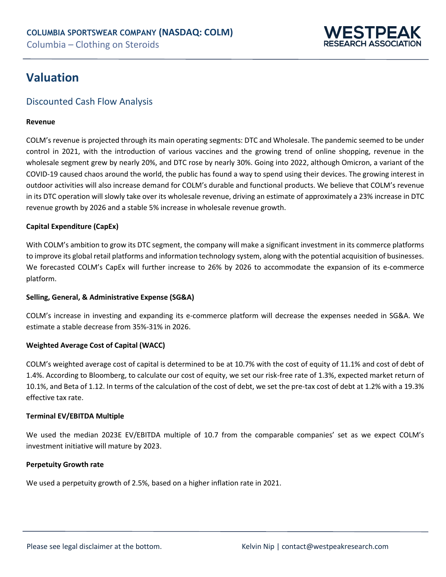

## **Valuation**

## Discounted Cash Flow Analysis

#### **Revenue**

COLM's revenue is projected through its main operating segments: DTC and Wholesale. The pandemic seemed to be under control in 2021, with the introduction of various vaccines and the growing trend of online shopping, revenue in the wholesale segment grew by nearly 20%, and DTC rose by nearly 30%. Going into 2022, although Omicron, a variant of the COVID-19 caused chaos around the world, the public has found a way to spend using their devices. The growing interest in outdoor activities will also increase demand for COLM's durable and functional products. We believe that COLM's revenue in its DTC operation will slowly take over its wholesale revenue, driving an estimate of approximately a 23% increase in DTC revenue growth by 2026 and a stable 5% increase in wholesale revenue growth.

#### **Capital Expenditure (CapEx)**

With COLM's ambition to grow its DTC segment, the company will make a significant investment in its commerce platforms to improve its global retail platforms and information technology system, along with the potential acquisition of businesses. We forecasted COLM's CapEx will further increase to 26% by 2026 to accommodate the expansion of its e-commerce platform.

#### **Selling, General, & Administrative Expense (SG&A)**

COLM's increase in investing and expanding its e-commerce platform will decrease the expenses needed in SG&A. We estimate a stable decrease from 35%-31% in 2026.

#### **Weighted Average Cost of Capital (WACC)**

COLM's weighted average cost of capital is determined to be at 10.7% with the cost of equity of 11.1% and cost of debt of 1.4%. According to Bloomberg, to calculate our cost of equity, we set our risk-free rate of 1.3%, expected market return of 10.1%, and Beta of 1.12. In terms of the calculation of the cost of debt, we set the pre-tax cost of debt at 1.2% with a 19.3% effective tax rate.

#### **Terminal EV/EBITDA Multiple**

We used the median 2023E EV/EBITDA multiple of 10.7 from the comparable companies' set as we expect COLM's investment initiative will mature by 2023.

#### **Perpetuity Growth rate**

We used a perpetuity growth of 2.5%, based on a higher inflation rate in 2021.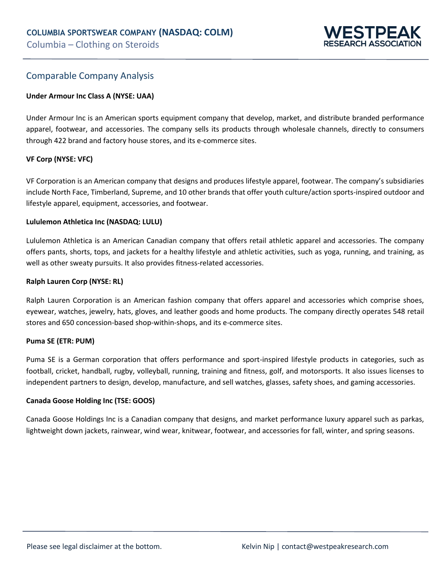

### Comparable Company Analysis

#### **Under Armour Inc Class A (NYSE: UAA)**

Under Armour Inc is an American sports equipment company that develop, market, and distribute branded performance apparel, footwear, and accessories. The company sells its products through wholesale channels, directly to consumers through 422 brand and factory house stores, and its e-commerce sites.

#### **VF Corp (NYSE: VFC)**

VF Corporation is an American company that designs and produces lifestyle apparel, footwear. The company's subsidiaries include North Face, Timberland, Supreme, and 10 other brands that offer youth culture/action sports-inspired outdoor and lifestyle apparel, equipment, accessories, and footwear.

#### **Lululemon Athletica Inc (NASDAQ: LULU)**

Lululemon Athletica is an American Canadian company that offers retail athletic apparel and accessories. The company offers pants, shorts, tops, and jackets for a healthy lifestyle and athletic activities, such as yoga, running, and training, as well as other sweaty pursuits. It also provides fitness-related accessories.

#### **Ralph Lauren Corp (NYSE: RL)**

Ralph Lauren Corporation is an American fashion company that offers apparel and accessories which comprise shoes, eyewear, watches, jewelry, hats, gloves, and leather goods and home products. The company directly operates 548 retail stores and 650 concession-based shop-within-shops, and its e-commerce sites.

#### **Puma SE (ETR: PUM)**

Puma SE is a German corporation that offers performance and sport-inspired lifestyle products in categories, such as football, cricket, handball, rugby, volleyball, running, training and fitness, golf, and motorsports. It also issues licenses to independent partners to design, develop, manufacture, and sell watches, glasses, safety shoes, and gaming accessories.

#### **Canada Goose Holding Inc (TSE: GOOS)**

Canada Goose Holdings Inc is a Canadian company that designs, and market performance luxury apparel such as parkas, lightweight down jackets, rainwear, wind wear, knitwear, footwear, and accessories for fall, winter, and spring seasons.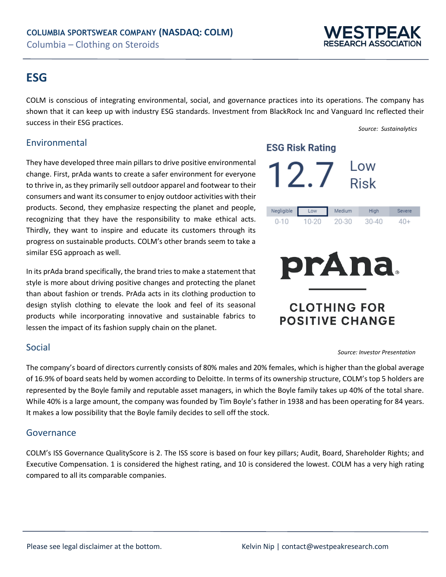## **ESTPEA SEARCH ASSOCIATIO**

## **ESG**

COLM is conscious of integrating environmental, social, and governance practices into its operations. The company has shown that it can keep up with industry ESG standards. Investment from BlackRock Inc and Vanguard Inc reflected their success in their ESG practices.

*Source: Sustainalytics* 

## Environmental

They have developed three main pillars to drive positive environmental change. First, prAda wants to create a safer environment for everyone to thrive in, as they primarily sell outdoor apparel and footwear to their consumers and want its consumer to enjoy outdoor activities with their products. Second, they emphasize respecting the planet and people, recognizing that they have the responsibility to make ethical acts. Thirdly, they want to inspire and educate its customers through its progress on sustainable products. COLM's other brands seem to take a similar ESG approach as well.

In its prAda brand specifically, the brand tries to make a statement that style is more about driving positive changes and protecting the planet than about fashion or trends. PrAda acts in its clothing production to design stylish clothing to elevate the look and feel of its seasonal products while incorporating innovative and sustainable fabrics to lessen the impact of its fashion supply chain on the planet.

### Social

The company's board of directors currently consists of 80% males and 20% females, which is higher than the global average of 16.9% of board seats held by women according to Deloitte. In terms of its ownership structure, COLM's top 5 holders are represented by the Boyle family and reputable asset managers, in which the Boyle family takes up 40% of the total share. While 40% is a large amount, the company was founded by Tim Boyle's father in 1938 and has been operating for 84 years. It makes a low possibility that the Boyle family decides to sell off the stock.

## Governance

COLM's ISS Governance QualityScore is 2. The ISS score is based on four key pillars; Audit, Board, Shareholder Rights; and Executive Compensation. 1 is considered the highest rating, and 10 is considered the lowest. COLM has a very high rating compared to all its comparable companies.

## **ESG Risk Rating**

|  | <b>Low</b>  |
|--|-------------|
|  | <b>Risk</b> |

| Negligible | Low   | Medium | High  | severe |
|------------|-------|--------|-------|--------|
| $0 - 10$   | 10-20 | 20-30  | 30-40 | 40+    |



## **CLOTHING FOR POSITIVE CHANGE**

#### *Source: Investor Presentation*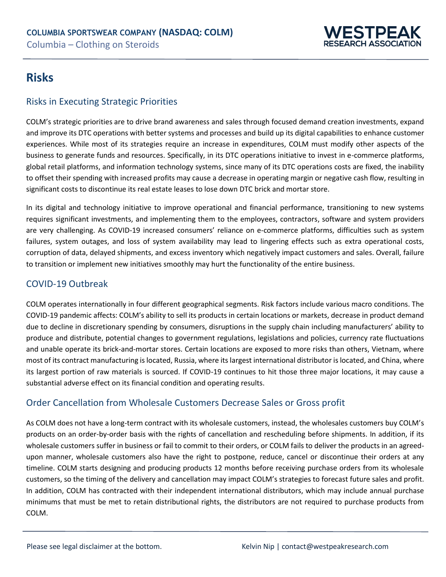

## **Risks**

## Risks in Executing Strategic Priorities

COLM's strategic priorities are to drive brand awareness and sales through focused demand creation investments, expand and improve its DTC operations with better systems and processes and build up its digital capabilities to enhance customer experiences. While most of its strategies require an increase in expenditures, COLM must modify other aspects of the business to generate funds and resources. Specifically, in its DTC operations initiative to invest in e-commerce platforms, global retail platforms, and information technology systems, since many of its DTC operations costs are fixed, the inability to offset their spending with increased profits may cause a decrease in operating margin or negative cash flow, resulting in significant costs to discontinue its real estate leases to lose down DTC brick and mortar store.

In its digital and technology initiative to improve operational and financial performance, transitioning to new systems requires significant investments, and implementing them to the employees, contractors, software and system providers are very challenging. As COVID-19 increased consumers' reliance on e-commerce platforms, difficulties such as system failures, system outages, and loss of system availability may lead to lingering effects such as extra operational costs, corruption of data, delayed shipments, and excess inventory which negatively impact customers and sales. Overall, failure to transition or implement new initiatives smoothly may hurt the functionality of the entire business.

## COVID-19 Outbreak

COLM operates internationally in four different geographical segments. Risk factors include various macro conditions. The COVID-19 pandemic affects: COLM's ability to sell its products in certain locations or markets, decrease in product demand due to decline in discretionary spending by consumers, disruptions in the supply chain including manufacturers' ability to produce and distribute, potential changes to government regulations, legislations and policies, currency rate fluctuations and unable operate its brick-and-mortar stores. Certain locations are exposed to more risks than others, Vietnam, where most of its contract manufacturing is located, Russia, where its largest international distributor is located, and China, where its largest portion of raw materials is sourced. If COVID-19 continues to hit those three major locations, it may cause a substantial adverse effect on its financial condition and operating results.

## Order Cancellation from Wholesale Customers Decrease Sales or Gross profit

As COLM does not have a long-term contract with its wholesale customers, instead, the wholesales customers buy COLM's products on an order-by-order basis with the rights of cancellation and rescheduling before shipments. In addition, if its wholesale customers suffer in business or fail to commit to their orders, or COLM fails to deliver the products in an agreedupon manner, wholesale customers also have the right to postpone, reduce, cancel or discontinue their orders at any timeline. COLM starts designing and producing products 12 months before receiving purchase orders from its wholesale customers, so the timing of the delivery and cancellation may impact COLM's strategies to forecast future sales and profit. In addition, COLM has contracted with their independent international distributors, which may include annual purchase minimums that must be met to retain distributional rights, the distributors are not required to purchase products from COLM.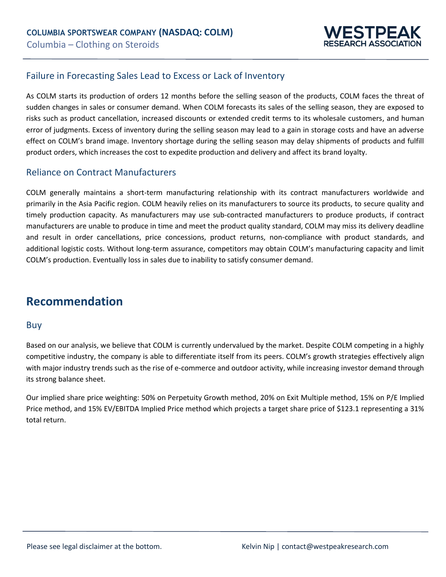

## Failure in Forecasting Sales Lead to Excess or Lack of Inventory

As COLM starts its production of orders 12 months before the selling season of the products, COLM faces the threat of sudden changes in sales or consumer demand. When COLM forecasts its sales of the selling season, they are exposed to risks such as product cancellation, increased discounts or extended credit terms to its wholesale customers, and human error of judgments. Excess of inventory during the selling season may lead to a gain in storage costs and have an adverse effect on COLM's brand image. Inventory shortage during the selling season may delay shipments of products and fulfill product orders, which increases the cost to expedite production and delivery and affect its brand loyalty.

### Reliance on Contract Manufacturers

COLM generally maintains a short-term manufacturing relationship with its contract manufacturers worldwide and primarily in the Asia Pacific region. COLM heavily relies on its manufacturers to source its products, to secure quality and timely production capacity. As manufacturers may use sub-contracted manufacturers to produce products, if contract manufacturers are unable to produce in time and meet the product quality standard, COLM may miss its delivery deadline and result in order cancellations, price concessions, product returns, non-compliance with product standards, and additional logistic costs. Without long-term assurance, competitors may obtain COLM's manufacturing capacity and limit COLM's production. Eventually loss in sales due to inability to satisfy consumer demand.

## **Recommendation**

#### Buy

Based on our analysis, we believe that COLM is currently undervalued by the market. Despite COLM competing in a highly competitive industry, the company is able to differentiate itself from its peers. COLM's growth strategies effectively align with major industry trends such as the rise of e-commerce and outdoor activity, while increasing investor demand through its strong balance sheet.

Our implied share price weighting: 50% on Perpetuity Growth method, 20% on Exit Multiple method, 15% on P/E Implied Price method, and 15% EV/EBITDA Implied Price method which projects a target share price of \$123.1 representing a 31% total return.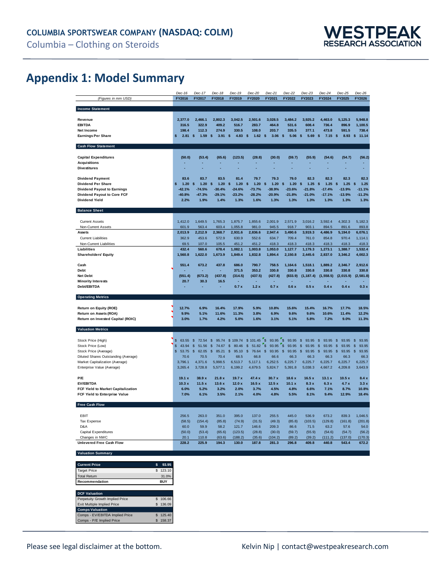

## **Appendix 1: Model Summary**

|                                                  | $Dec-16$               | Dec-17           | Dec-18                  | Dec-19                      | $Dec-20$         | $Dec-21$                | Dec-22                           | $Dec-23$               | $Dec-24$              | $Dec-25$              | $Dec-26$               |
|--------------------------------------------------|------------------------|------------------|-------------------------|-----------------------------|------------------|-------------------------|----------------------------------|------------------------|-----------------------|-----------------------|------------------------|
| (Figures in mm USD)                              | FY2016                 | FY2017           | FY2018                  | FY2019                      | FY2020           | FY2021                  | FY2022                           | FY2023                 | FY2024                | FY2025                | FY2026                 |
| <b>Income Statement</b>                          |                        |                  |                         |                             |                  |                         |                                  |                        |                       |                       |                        |
|                                                  |                        |                  |                         |                             |                  |                         |                                  |                        |                       |                       |                        |
| Revenue                                          | 2,377.0                | 2.466.1          | 2,802.3                 | 3.042.5                     | 2.501.6          | 3.028.5                 | 3,484.2                          | 3,925.2                | 4,463.0               | 5.125.3               | 5,948.8                |
| <b>EBITDA</b>                                    | 316.5                  | 322.9            | 409.2                   | 516.7                       | 283.7            | 464.8                   | 531.6                            | 608.4                  | 736.4                 | 896.9                 | 1,100.5                |
| <b>Net Income</b>                                | 198.4                  | 112.3            | 274.9                   | 330.5                       | 108.0            | 203.7                   | 335.5                            | 377.1                  | 473.8                 | 591.5                 | 738.4                  |
| <b>Earnings Per Share</b>                        | 2.81S<br>\$            | 1.59             | \$<br>3.91              | \$<br>4.83 \$               | $1.62$ \$        | $3.06$ \$               | $5.06$ \$                        | 5.69                   | \$<br>$7.15$ \$       | 8.93                  | $\mathsf{s}$<br>11.14  |
| <b>Cash Flow Statement</b>                       |                        |                  |                         |                             |                  |                         |                                  |                        |                       |                       |                        |
|                                                  |                        |                  |                         |                             |                  |                         |                                  |                        |                       |                       |                        |
| <b>Capital Expenditures</b>                      | (50.0)                 | (53.4)           | (65.6)                  | (123.5)                     | (28.8)           | (30.0)                  | (59.7)                           | (55.9)                 | (54.6)                | (54.7)                | (56.2)                 |
| <b>Acquisitions</b>                              |                        |                  |                         |                             |                  |                         |                                  |                        |                       |                       |                        |
| <b>Divestitures</b>                              |                        |                  |                         |                             |                  |                         |                                  |                        |                       |                       |                        |
| <b>Dividend Payment</b>                          | 83.6                   | 83.7             | 83.5                    | 81.4                        | 79.7             | 79.3                    | 79.0                             | 82.3                   | 82.3                  | 82.3                  | 82.3                   |
| <b>Dividend Per Share</b>                        | 1.20<br>\$             | \$<br>1.20       | \$<br>1.20              | 1.20<br>s                   | \$<br>1.20       | 1.20<br>\$              | \$<br>1.20                       | 1.25<br>s              | S<br>1.25             | \$<br>1.25            | 1.25<br>s              |
| <b>Dividend Payout to Earnings</b>               | $-42.1%$               | $-74.5%$         | $-30.4%$                | $-24.6%$                    | $-73.7%$         | $-38.9%$                | $-23.6%$                         | $-21.8%$               | $-17.4%$              | $-13.9%$              | $-11.1%$               |
| Dividend Payout to Core FCF                      | $-40.8%$               | $-47.3%$         | $-29.1%$                | $-23.2%$                    | $-28.2%$         | $-20.9%$                | $-21.8%$                         | $-21.0%$               | $-17.1%$              | $-13.9%$              | $-11.2%$               |
| Dividend Yield                                   | 2.2%                   | 1.9%             | 1.4%                    | 1.3%                        | 1.6%             | 1.3%                    | 1.3%                             | 1.3%                   | 1.3%                  | 1.3%                  | 1.3%                   |
| <b>Balance Sheet</b>                             |                        |                  |                         |                             |                  |                         |                                  |                        |                       |                       |                        |
|                                                  |                        |                  |                         |                             |                  |                         |                                  |                        |                       |                       |                        |
| <b>Current Assets</b><br>Non-Current Assets      | 1,412.0<br>601.9       | 1,649.5<br>563.4 | 1,765.3<br>603.4        | 1,875.7<br>1,055.8          | 1,855.6<br>981.0 | 2,001.9<br>945.5        | 2,571.9<br>918.7                 | 3,016.2<br>903.1       | 3,592.4<br>894.5      | 4,302.3<br>891.6      | 5,182.3<br>893.8       |
| <b>Assets</b>                                    | 2,013.9                | 2,212.9          | 2,368.7                 | 2,931.6                     | 2,836.6          | 2,947.4                 | 3,490.6                          | 3,919.3                | 4,486.9               | 5,194.0               | 6,076.1                |
| <b>Current Liabilities</b>                       | 362.9                  | 453.6            | 572.9                   | 630.9                       | 552.6            | 634.7                   | 709.4                            | 761.0                  | 854.8                 | 970.4                 | 1,114.1                |
| Non-Current Liabilities                          | 69.5                   | 107.0            | 105.5                   | 451.2                       | 451.2            | 418.3                   | 418.3                            | 418.3                  | 418.3                 | 418.3                 | 418.3                  |
| Liabilities                                      | 432.4                  | 560.6            | 678.4                   | 1,082.1                     | 1,003.8          | 1,053.0                 | 1,127.7                          | 1,179.3                | 1,273.1               | 1,388.7               | 1,532.4                |
| <b>Shareholders' Equity</b>                      | 1,560.8                | 1,622.0          | 1,673.9                 | 1,849.4                     | 1,832.8          | 1,894.4                 | 2,150.8                          | 2,445.6                | 2,837.0               | 3,346.2               | 4,002.3                |
| Cash                                             | 551.4                  | 673.2            | 437.8                   | 686.0                       | 790.7            | 758.5                   | 1,164.6                          | 1,518.1                | 1,889.2               | 2,346.7               | 2,912.6                |
| Debt                                             |                        |                  |                         | 371.5                       | 353.2            | 330.8                   | 330.8                            | 330.8                  | 330.8                 | 330.8                 | 330.8                  |
| <b>Net Debt</b>                                  | (551.4)                | (673.2)          | (437.8)                 | (314.5)                     | (437.5)          | (427.8)                 | (833.9)                          | (1, 187.4)             | (1, 558.5)            | (2,015.9)             | (2, 581.8)             |
| <b>Minority Interests</b>                        | 20.7                   | 30.3             | 16.5                    |                             |                  |                         |                                  |                        |                       |                       |                        |
| Debt/EBITDA                                      |                        |                  |                         | 0.7x                        | 1.2x             | 0.7x                    | 0.6x                             | 0.5x                   | 0.4x                  | 0.4x                  | 0.3x                   |
| <b>Operating Metrics</b>                         |                        |                  |                         |                             |                  |                         |                                  |                        |                       |                       |                        |
|                                                  | 12.7%                  | 6.9%             | 16.4%                   | 17.9%                       | 5.9%             | 10.8%                   | 15.6%                            | 15.4%                  | 16.7%                 | 17.7%                 | 18.5%                  |
| Return on Equity (ROE)<br>Return on Assets (ROA) | 9.9%                   | 5.1%             | 11.6%                   | 11.3%                       | 3.8%             | 6.9%                    | 9.6%                             | 9.6%                   | 10.6%                 | 11.4%                 | 12.2%                  |
| Return on Invested Capital (ROIC)                | 3.0%                   | 1.7%             | 4.2%                    | 5.0%                        | 1.6%             | 3.1%                    | 5.1%                             | 5.8%                   | 7.2%                  | 9.0%                  | 11.3%                  |
|                                                  |                        |                  |                         |                             |                  |                         |                                  |                        |                       |                       |                        |
| <b>Valuation Metrics</b>                         |                        |                  |                         |                             |                  |                         |                                  |                        |                       |                       |                        |
| Stock Price (High)                               | $\frac{1}{2}$<br>63.55 | \$<br>72.54      | \$<br>95.74             | \$109.74                    | \$101.45         | ۰\$<br>93.95<br>'s      | 93.95                            | $\mathbb{S}$<br>93.95  | $\mathbb{S}$<br>93.95 | \$<br>93.95           | $\mathsf{\$}$<br>93.95 |
| Stock Price (Low)                                | \$<br>43.94            | \$<br>51.56      | \$<br>74.67             | \$<br>80.46                 | \$<br>51.82      | $\mathfrak{s}$<br>93.95 | $\overline{\mathbf{3}}$<br>93.95 | \$<br>93.95            | \$<br>93.95           | $\mathbb{S}$<br>93.95 | \$<br>93.95            |
| Stock Price (Average)                            | \$<br>53.75            | \$<br>62.05      | $\mathfrak{L}$<br>85.21 | $\mathbf{\hat{s}}$<br>95.10 | \$<br>76.64      | \$<br>93.95             | \$<br>93.95                      | $\mathsf{\$}$<br>93.95 | \$<br>93.95           | \$<br>93.95           | \$<br>93.95            |
| Diluted Shares Outstanding (Average)             | 70.6                   | 70.5             | 70.4                    | 68.5                        | 66.8             | 66.6                    | 66.3                             | 66.3                   | 66.3                  | 66.3                  | 66.3                   |
| Market Capitalization (Average)                  | 3,796.1                | 4,371.6          | 5,998.5                 | 6,513.7                     | 5,117.1          | 6,252.5                 | 6,225.7                          | 6,225.7                | 6,225.7               | 6,225.7               | 6,225.7                |
| Enterprise Value (Average)                       | 3,265.4                | 3,728.8          | 5,577.1                 | 6,199.2                     | 4,679.5          | 5,824.7                 | 5,391.8                          | 5,038.3                | 4,667.2               | 4,209.8               | 3,643.9                |
| P/F                                              | 19.1 x                 | 38.9x            | 21.8x                   | 19.7x                       | 47.4x            | 30.7x                   | 18.6x                            | 16.5x                  | 13.1 x                | 10.5x                 | 8.4x                   |
| <b>EV/EBITDA</b>                                 | 10.3x                  | 11.5x            | 13.6x                   | 12.0x                       | 16.5x            | 12.5x                   | 10.1 x                           | 8.3x                   | 6.3x                  | 4.7x                  | 3.3x                   |
| FCF Yield to Market Capitalization               | 6.0%                   | 5.2%             | 3.2%                    | 2.0%                        | 3.7%             | 4.5%                    | 4.8%                             | 6.6%                   | 7.1%                  | 8.7%                  | 10.8%                  |
| FCF Yield to Enterprise Value                    | 7.0%                   | 6.1%             | 3.5%                    | 2.1%                        | 4.0%             | 4.8%                    | 5.5%                             | 8.1%                   | 9.4%                  | 12.9%                 | 18.4%                  |
| Free Cash Flow                                   |                        |                  |                         |                             |                  |                         |                                  |                        |                       |                       |                        |
|                                                  |                        |                  |                         |                             |                  |                         |                                  |                        |                       |                       |                        |
| EBIT<br><b>Tax Expense</b>                       | 256.5<br>(58.5)        | 263.0<br>(154.4) | 351.0<br>(85.8)         | 395.0<br>(74.9)             | 137.0<br>(31.5)  | 255.5<br>(49.3)         | 445.0<br>(85.8)                  | 536.9<br>(103.5)       | 673.2<br>(129.8)      | 839.3<br>(161.8)      | 1,046.5<br>(201.8)     |
| D&A                                              | 60.0                   | 59.9             | 58.2                    | 121.7                       | 146.6            | 209.3                   | 86.6                             | 71.5                   | 63.2                  | 57.6                  | 54.0                   |
| Capital Expenditures                             | (50.0)                 | (53.4)           | (65.6)                  | (123.5)                     | (28.8)           | (30.0)                  | (59.7)                           | (55.9)                 | (54.6)                | (54.7)                | (56.2)                 |
| Changes in NWC                                   | 20.1                   | 110.8            | (63.6)                  | (188.2)                     | (35.6)           | (104.2)                 | (89.2)                           | (39.2)                 | (111.2)               | (137.0)               | (170.3)                |
| Unlevered Free Cash Flow                         | 228.2                  | 225.9            | 194.3                   | 130.0                       | 187.8            | 281.3                   | 296.8                            | 409.8                  | 440.8                 | 543.4                 | 672.2                  |
| <b>Valuation Summary</b>                         |                        |                  |                         |                             |                  |                         |                                  |                        |                       |                       |                        |
|                                                  |                        |                  |                         |                             |                  |                         |                                  |                        |                       |                       |                        |

| <b>Current Price</b>               |   | 93.95      |
|------------------------------------|---|------------|
| <b>Target Price</b>                |   | \$123.10   |
| <b>Total Return</b>                |   | 31.0%      |
| Recommendation                     |   | <b>BUY</b> |
|                                    |   |            |
| <b>DCF Valuation</b>               |   |            |
| Perpetuity Growth Implied Price    | S | 106.66     |
| <b>Exit Multiple Implied Price</b> |   | 136.09     |
| <b>Comps Valuation</b>             |   |            |
| Comps - EV/EBITDA Implied Price    |   | 125.40     |
| Comps - P/E Implied Price          |   | 158.37     |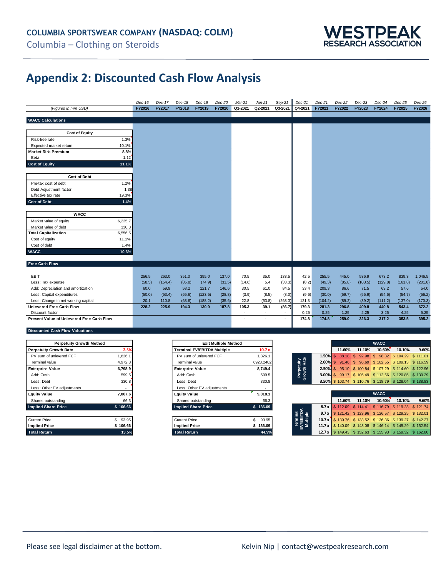

## **Appendix 2: Discounted Cash Flow Analysis**

|                                           | $Dec-16$ | Dec-17  | Dec-18        | Dec-19  | $Dec-20$      | Mar-21               | $Jun-21$             | Sep-21  | Dec-21  | Dec-21  | $Dec-22$ | $Dec-23$ | $Dec-24$ | $Dec-25$      | $Dec-26$ |
|-------------------------------------------|----------|---------|---------------|---------|---------------|----------------------|----------------------|---------|---------|---------|----------|----------|----------|---------------|----------|
| (Figures in mm USD)                       | FY2016   | FY2017  | <b>FY2018</b> | FY2019  | <b>FY2020</b> | Q1-2021              | Q2-2021              | Q3-2021 | Q4-2021 | FY2021  | FY2022   | FY2023   | FY2024   | <b>FY2025</b> | FY2026   |
|                                           |          |         |               |         |               |                      |                      |         |         |         |          |          |          |               |          |
| <b>WACC Calculations</b>                  |          |         |               |         |               |                      |                      |         |         |         |          |          |          |               |          |
|                                           |          |         |               |         |               |                      |                      |         |         |         |          |          |          |               |          |
| <b>Cost of Equity</b>                     |          |         |               |         |               |                      |                      |         |         |         |          |          |          |               |          |
| Risk-free rate<br>1.3%                    |          |         |               |         |               |                      |                      |         |         |         |          |          |          |               |          |
| 10.1%<br>Expected market return           |          |         |               |         |               |                      |                      |         |         |         |          |          |          |               |          |
| 8.8%<br><b>Market Risk Premium</b>        |          |         |               |         |               |                      |                      |         |         |         |          |          |          |               |          |
| 1.12<br>Beta                              |          |         |               |         |               |                      |                      |         |         |         |          |          |          |               |          |
| <b>Cost of Equity</b><br>11.1%            |          |         |               |         |               |                      |                      |         |         |         |          |          |          |               |          |
|                                           |          |         |               |         |               |                      |                      |         |         |         |          |          |          |               |          |
| <b>Cost of Debt</b>                       |          |         |               |         |               |                      |                      |         |         |         |          |          |          |               |          |
| 1.2%<br>Pre-tax cost of debt              |          |         |               |         |               |                      |                      |         |         |         |          |          |          |               |          |
| Debt Adjustment factor<br>1.38            |          |         |               |         |               |                      |                      |         |         |         |          |          |          |               |          |
| Effective tax rate<br>19.3%               |          |         |               |         |               |                      |                      |         |         |         |          |          |          |               |          |
| <b>Cost of Debt</b><br>1.4%               |          |         |               |         |               |                      |                      |         |         |         |          |          |          |               |          |
|                                           |          |         |               |         |               |                      |                      |         |         |         |          |          |          |               |          |
| <b>WACC</b>                               |          |         |               |         |               |                      |                      |         |         |         |          |          |          |               |          |
| 6,225.7<br>Market value of equity         |          |         |               |         |               |                      |                      |         |         |         |          |          |          |               |          |
| Market value of debt<br>330.8             |          |         |               |         |               |                      |                      |         |         |         |          |          |          |               |          |
| <b>Total Capitalization</b><br>6,556.5    |          |         |               |         |               |                      |                      |         |         |         |          |          |          |               |          |
| Cost of equity<br>11.1%                   |          |         |               |         |               |                      |                      |         |         |         |          |          |          |               |          |
| Cost of debt<br>1.4%                      |          |         |               |         |               |                      |                      |         |         |         |          |          |          |               |          |
| <b>WACC</b><br>10.6%                      |          |         |               |         |               |                      |                      |         |         |         |          |          |          |               |          |
|                                           |          |         |               |         |               |                      |                      |         |         |         |          |          |          |               |          |
| <b>Free Cash Flow</b>                     |          |         |               |         |               |                      |                      |         |         |         |          |          |          |               |          |
|                                           |          |         |               |         |               |                      |                      |         |         |         |          |          |          |               |          |
| <b>EBIT</b>                               | 256.5    | 263.0   | 351.0         | 395.0   | 137.0         | 70.5                 | 35.0                 | 133.5   | 42.5    | 255.5   | 445.0    | 536.9    | 673.2    | 839.3         | 1,046.5  |
| Less: Tax expense                         | (58.5)   | (154.4) | (85.8)        | (74.9)  | (31.5)        | (14.6)               | 5.4                  | (33.3)  | (8.2)   | (49.3)  | (85.8)   | (103.5)  | (129.8)  | (161.8)       | (201.8)  |
| Add: Depreciation and amortization        | 60.0     | 59.9    | 58.2          | 121.7   | 146.6         | 30.5                 | 61.0                 | 84.5    | 33.4    | 209.3   | 86.6     | 71.5     | 63.2     | 57.6          | 54.0     |
| Less: Capital expenditures                | (50.0)   | (53.4)  | (65.6)        | (123.5) | (28.8)        | (3.9)                | (8.5)                | (8.0)   | (9.6)   | (30.0)  | (59.7)   | (55.9)   | (54.6)   | (54.7)        | (56.2)   |
| Less: Change in net working capital       | 20.1     | 110.8   | (63.6)        | (188.2) | (35.6)        | 22.8                 | (53.8)               | (263.3) | 121.3   | (104.2) | (89.2)   | (39.2)   | (111.2)  | (137.0)       | (170.3)  |
| <b>Unlevered Free Cash Flow</b>           | 228.2    | 225.9   | 194.3         | 130.0   | 187.8         | 105.3                | 39.1                 | (86.7)  | 179.3   | 281.3   | 296.8    | 409.8    | 440.8    | 543.4         | 672.2    |
| Discount factor                           |          |         |               |         |               | ٠                    | $\sim$               | $\sim$  | 0.25    | 0.25    | 1.25     | 2.25     | 3.25     | 4.25          | 5.25     |
| Present Value of Unlevered Free Cash Flow |          |         |               |         |               | $\ddot{\phantom{1}}$ | $\ddot{\phantom{1}}$ | $\sim$  | 174.8   | 174.8   | 259.0    | 326.3    | 317.2    | 353.5         | 395.2    |
|                                           |          |         |               |         |               |                      |                      |         |         |         |          |          |          |               |          |

#### **Discounted Cash Flow Valuations**

| <b>Perpetuity Growth Method</b> |          | <b>Exit Multiple Method</b>        |           |                                   |                                                                   |                                   | <b>WACC</b>       |        |
|---------------------------------|----------|------------------------------------|-----------|-----------------------------------|-------------------------------------------------------------------|-----------------------------------|-------------------|--------|
| <b>Perpetuity Growth Rate</b>   | 2.5%     | <b>Terminal EV/EBITDA Multiple</b> | 10.7x     |                                   | 11.60%                                                            | 11.10%                            | 10.60%            |        |
| PV sum of unlevered FCF         | ,826.1   | PV sum of unlevered FCF            | 1,826.1   | $1.50\%$ \$                       |                                                                   | 88.18 \$ 92.98 \$ 98.32 \$ 104.29 |                   |        |
| Terminal value                  | 4,972.8  | Terminal value                     | 6923.2402 | uity<br>Rate                      | <b>2.00% \$91.46 \$96.69 \$102.55 \$109.13 \$116.59</b>           |                                   |                   |        |
| <b>Enterprise Value</b>         | 6,798.9  | <b>Enterprise Value</b>            | 8,749.4   |                                   | <b>2.50%</b> S 95.10 S 100.84 S 107.29 S 114.60 S 122.96          |                                   |                   |        |
| Add: Cash                       | 599.5    | Add: Cash                          | 599.5     | Perpet<br>irowth                  | 3.00% \$99.17 \$105.49 \$112.66 \$120.85 \$130.29                 |                                   |                   |        |
| Less: Debt                      | 330.8    | Less: Debt                         | 330.8     | <b>CD</b>                         | 3.50% \$103.74 \$110.76 \$118.79 \$128.04 \$138.83                |                                   |                   |        |
| Less: Other EV adjustments      |          | Less: Other EV adjustments         |           |                                   |                                                                   |                                   |                   |        |
| <b>Equity Value</b>             | 7,067.6  | <b>Equity Value</b>                | 9.018.1   |                                   |                                                                   |                                   | <b>WACC</b>       |        |
| Shares outstanding              | 66.3     | Shares outstanding                 | 66.3      |                                   | 11.60%                                                            | 11.10%                            | 10.60%            | 10.10% |
| <b>Implied Share Price</b>      | \$106.66 | <b>Implied Share Price</b>         | \$136.09  |                                   | 8.7 x $\frac{1}{3}$ 112.09 \$ 114.41                              |                                   | \$116.79 \$119.23 |        |
|                                 |          |                                    |           |                                   | 9.7 x   \$ 121.42 \$ 123.96 \$ 126.57 \$ 129.25 \$ 132.01         |                                   |                   |        |
| <b>Current Price</b>            | \$93.95  | <b>Current Price</b>               | 93.95     | Terminal<br>:V/EBITD/<br>Multiple | 10.7 x \ \$ 130.76 \$ 133.52 \$ 136.36 \$ 139.27 \$ 142.27        |                                   |                   |        |
| <b>Implied Price</b>            | \$106.66 | <b>Implied Price</b>               | 136.09    |                                   | 11.7 x   \$140.09 \$143.08 \$146.14 \$149.29 \$152.54             |                                   |                   |        |
| <b>Total Return</b>             | 13.5%    | <b>Total Return</b>                | 44.9%     |                                   | <b>12.7 x   \$ 149.43 \$ 152.63 \$ 155.93 \$ 159.32 \$ 162.80</b> |                                   |                   |        |

| <b>Exit Multiple Method</b>        |    |           |
|------------------------------------|----|-----------|
| <b>Terminal EV/EBITDA Multiple</b> |    | 10.7x     |
| PV sum of unlevered FCF            |    | 1.826.1   |
| Terminal value                     |    | 6923.2402 |
| <b>Enterprise Value</b>            |    | 8.749.4   |
| Add: Cash                          |    | 599.5     |
| Less: Debt                         |    | 330.8     |
| Less: Other EV adjustments         |    |           |
| <b>Equity Value</b>                |    | 9.018.1   |
| Shares outstanding                 |    | 66.3      |
| <b>Implied Share Price</b>         | \$ | 136.09    |
|                                    |    |           |
| <b>Current Price</b>               | \$ | 93.95     |
| <b>Implied Price</b>               | S  | 136.09    |
| <b>Total Return</b>                |    | 44.9%     |

| <b>Perpetuity Growth Method</b> |         |  | <b>Exit Multiple Method</b>        |                   |                           |        |                                                          | <b>WACC</b> |        |       |
|---------------------------------|---------|--|------------------------------------|-------------------|---------------------------|--------|----------------------------------------------------------|-------------|--------|-------|
| <b>Perpetuity Growth Rate</b>   | 2.5%    |  | <b>Terminal EV/EBITDA Multiple</b> | 10.7 <sub>x</sub> |                           | 11.60% | 11.10%                                                   | 10.60%      | 10.10% | 9.60% |
| PV sum of unlevered FCF         | .826.1  |  | PV sum of unlevered FCF            | 1.826.1           |                           |        | 1.50% \$ 88.18 \$ 92.98 \$ 98.32 \$ 104.29 \$ 111.01     |             |        |       |
| Terminal value                  | 4.972.8 |  | Terminal value                     | 6923.2402         |                           |        | 2.00% \$91.46 \$96.69 \$102.55 \$109.13 \$116.59         |             |        |       |
| <b>Enterprise Value</b>         | 6.798.9 |  | <b>Enterprise Value</b>            | 8.749.4           |                           |        | 2.50% \$95.10 \$100.84 \$107.29 \$114.60 \$122.96        |             |        |       |
| Add: Cash                       | 599.5   |  | Add: Cash                          | 599.5             | Perpetuity<br>Growth Rate |        | <b>3.00%</b> \$99.17 \$105.49 \$112.66 \$120.85 \$130.29 |             |        |       |
| Less: Debt                      | 330.8   |  | Less: Debt                         | 330.8             |                           |        | 3.50% \$103.74 \$110.76 \$118.79 \$128.04 \$138.83       |             |        |       |
| Less: Other EV adjustments      |         |  | Less: Other EV adjustments         |                   |                           |        |                                                          |             |        |       |
| Equity Value                    | 7.067.6 |  | <b>Equity Value</b>                | 9.018.1           |                           |        |                                                          | <b>WACC</b> |        |       |
| Shares outstanding              | 66.3    |  | Shares outstanding                 | 66.3              |                           | 11.60% | 11.10%                                                   | 10.60%      | 10.10% | 9.60% |

| Shares outstanding  | 66.3   | Shares outstanding         | 66.3     |                                   | 11.60%                                                         | 11.10% | 10.60% | 10.10% | 9.60% |
|---------------------|--------|----------------------------|----------|-----------------------------------|----------------------------------------------------------------|--------|--------|--------|-------|
| Implied Share Price | 106.66 | <b>Implied Share Price</b> | \$136.09 |                                   | 8.7 x \$ 112.09 \$ 114.41 \$ 116.79 \$ 119.23 \$ 121.74        |        |        |        |       |
|                     |        |                            |          | Terminal<br>EV/EBITD/<br>Multiple | <b>9.7 x \$ 121.42 \$ 123.96 \$ 126.57 \$ 129.25 \$ 132.01</b> |        |        |        |       |
| Current Price       | 93.95  | <b>Current Price</b>       | 93.95    |                                   | 10.7 x \$ 130.76 \$ 133.52 \$ 136.36 \$ 139.27 \$ 142.27       |        |        |        |       |
| Implied Price       | 106.66 | <b>Implied Price</b>       | 136.09   |                                   | 11.7 x \$ 140.09 \$ 143.08 \$ 146.14 \$ 149.29 \$ 152.54       |        |        |        |       |
| Total Return        | 13.5%  | <b>Total Return</b>        | 44.9%    |                                   | 12.7 x \$ 149.43 \$ 152.63 \$ 155.93 \$ 159.32 \$ 162.80       |        |        |        |       |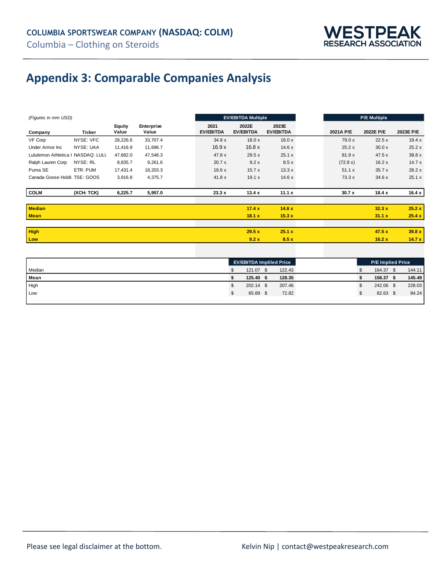

## **Appendix 3: Comparable Companies Analysis**

| (Figures in mm USD)                |            |                 |                     | <b>EV/EBITDA Multiple</b> |                          |                           |                           |           |           |           |
|------------------------------------|------------|-----------------|---------------------|---------------------------|--------------------------|---------------------------|---------------------------|-----------|-----------|-----------|
| Company                            | Ticker     | Equity<br>Value | Enterprise<br>Value |                           | 2021<br><b>EV/EBITDA</b> | 2022E<br><b>EV/EBITDA</b> | 2023E<br><b>EV/EBITDA</b> | 2021A P/E | 2022E P/E | 2023E P/E |
| VF Corp                            | NYSE: VFC  | 28,226.6        | 33,707.4            |                           | 34.8 x                   | 18.0x                     | 16.0x                     | 79.0 x    | 22.5x     | 19.4x     |
| Under Armor Inc.                   | NYSE: UAA  | 11,416.9        | 11,696.7            |                           | 16.9x                    | 16.8x                     | 14.6x                     | 25.2x     | 30.0 x    | 25.2x     |
| Lululemon Athletica   NASDAQ: LULL |            | 47,682.0        | 47,548.3            |                           | 47.8 x                   | 29.5x                     | 25.1 x                    | 81.9x     | 47.5x     | 39.8 x    |
| Ralph Lauren Corp                  | NYSE: RL   | 8,835.7         | 9,261.6             |                           | 20.7x                    | 9.2x                      | 8.5x                      | (72.8 x)  | 16.2x     | 14.7x     |
| Puma SE                            | ETR: PUM   | 17,431.4        | 18,203.3            |                           | 19.6x                    | 15.7x                     | 13.3x                     | 51.1 x    | 35.7x     | 28.2 x    |
| Canada Goose Holdii TSE: GOOS      |            | 3,916.8         | 4,375.7             |                           | 41.8 x                   | 19.1 x                    | 14.6x                     | 73.3 x    | 34.6x     | 25.1 x    |
| <b>COLM</b>                        | (XCH: TCK) | 6,225.7         | 5,957.0             |                           | 23.3 x                   | 13.4x                     | 11.1 $x$                  | 30.7x     | 18.4x     | 16.4 $x$  |
| <b>Median</b>                      |            |                 |                     |                           |                          | 17.4x                     | 14.6x                     |           | 32.3x     | 25.2 x    |
| <b>Mean</b>                        |            |                 |                     |                           |                          | 18.1 x                    | 15.3x                     |           | 31.1 x    | 25.4 x    |
|                                    |            |                 |                     |                           |                          |                           |                           |           |           |           |
| <b>High</b>                        |            |                 |                     |                           |                          | 29.5x                     | 25.1 x                    |           | 47.5x     | 39.8 x    |
| Low                                |            |                 |                     |                           |                          | 9.2x                      | 8.5x                      |           | 16.2x     | 14.7x     |

| Median<br>121.07<br>164.37<br>122.43<br>۰D<br>Mean<br>128.35<br>125.40<br>158.37<br>High<br>207.46<br>242.06 \$<br>$202.14$ \$<br>а |     | <b>EV/EBITDA Impliled Price</b> |       |  |       |  | <b>P/E Implied Price</b> |  |        |
|-------------------------------------------------------------------------------------------------------------------------------------|-----|---------------------------------|-------|--|-------|--|--------------------------|--|--------|
|                                                                                                                                     |     |                                 |       |  |       |  |                          |  | 144.11 |
|                                                                                                                                     |     |                                 |       |  |       |  |                          |  | 145.49 |
|                                                                                                                                     |     |                                 |       |  |       |  |                          |  | 228.03 |
| ۰D                                                                                                                                  | Low |                                 | 65.89 |  | 72.82 |  | 82.63 \$                 |  | 84.24  |